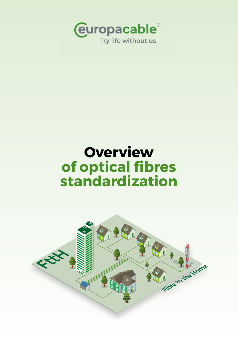

# **Overview of optical fibres standardization**

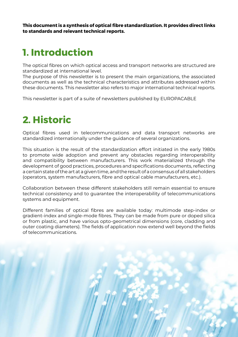**This document is a synthesis of optical fibre standardization. It provides direct links to standards and relevant technical reports.**

## **1. Introduction**

The optical fibres on which optical access and transport networks are structured are standardized at international level.

The purpose of this newsletter is to present the main organizations, the associated documents as well as the technical characteristics and attributes addressed within these documents. This newsletter also refers to major international technical reports.

This newsletter is part of a suite of newsletters published by EUROPACABLE

## **2. Historic**

Optical fibres used in telecommunications and data transport networks are standardized internationally under the guidance of several organizations.

This situation is the result of the standardization effort initiated in the early 1980s to promote wide adoption and prevent any obstacles regarding interoperability and compatibility between manufacturers. This work materialized through the development of good practices, procedures and specifications documents, reflecting a certain state of the art at a given time, and the result of a consensus of all stakeholders (operators, system manufacturers, fibre and optical cable manufacturers, etc.).

Collaboration between these different stakeholders still remain essential to ensure technical consistency and to guarantee the interoperability of telecommunications systems and equipment.

Different families of optical fibres are available today: multimode step-index or gradient-index and single-mode fibres. They can be made from pure or doped silica or from plastic, and have various opto-geometrical dimensions (core, cladding and outer coating diameters). The fields of application now extend well beyond the fields of telecommunications.

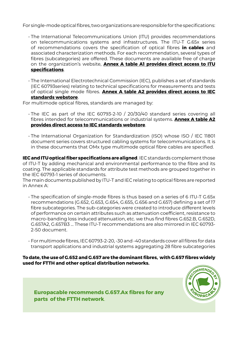For single-mode optical fibres, two organizations are responsible for the specifications:

- The International Telecommunications Union (ITU) provides recommendations on telecommunications systems and infrastructures. The ITU-T G.65x series of recommendations covers the specification of optical fibres **in cables** and associated characterization methods. For each recommendation, several types of fibres (subcategories) are offered. These documents are available free of charge on the organization's website, **Annex A table A1 provides direct access to ITU specifications**.
- The International Electrotechnical Commission (IEC), publishes a set of standards (IEC 60793series) relating to technical specifications for measurements and tests of optical single mode fibres. **Annex A table A2 provides direct access to IEC standards webstore**.

For multimode optical fibres, standards are managed by:

- The IEC as part of the IEC 60793-2-10 / 20/30/40 standard series covering all fibres intended for telecommunications or industrial systems. **Annex A table A2 provides direct access to IEC standards webstore**.
- The International Organization for Standardization (ISO) whose ISO / IEC 11801 document series covers structured cabling systems for telecommunications. It is in these documents that OMx type multimode optical fibre cables are specified.

**IEC and ITU optical fiber specifications are aligned**. IEC standards complement those of ITU-T by adding mechanical and environmental performance to the fibre and its coating. The applicable standards for attribute test methods are grouped together in the IEC 60793-1 series of documents.

The main documents published by ITU-T and IEC relating to optical fibres are reported in Annex A:

- The specification of single-mode fibres is thus based on a series of 6 ITU-T G.65x recommendations (G.652, G.653, G.654, G.655, G.656 and G.657) defining a set of 17 fibre subcategories. The sub-categories were created to introduce different levels of performance on certain attributes such as attenuation coefficient, resistance to macro-banding loss induced attenuation, etc. we thus find fibres G.652.B, G.652D, G.657A2, G.657B3 ... These ITU-T recommendations are also mirrored in IEC 60793- 2-50 document.
- For multimode fibres, IEC 60793-2-20, -30 and -40 standards cover all fibres for data transport applications and industrial systems aggregating 28 fibre subcategories

#### **To date, the use of G.652 and G.657 are the dominant fibres, with G.657 fibres widely used for FTTH and other optical distribution networks.**



**Europacable recommends G.657.Ax fibres for any parts of the FTTH network**.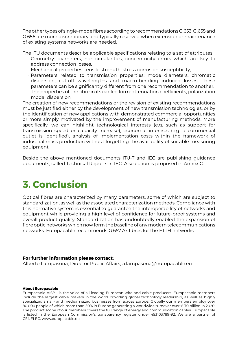The other types of single-mode fibres according to recommendations G.653, G.655 and G.656 are more discretionary and typically reserved when extension or maintenance of existing systems networks are needed.

The ITU documents describe applicable specifications relating to a set of attributes:

- Geometry: diameters, non-circularities, concentricity errors which are key to address connection losses,
- Mechanical properties: tensile strength, stress corrosion susceptibility,
- Parameters related to transmission properties: mode diameters, chromatic dispersion, cut-off wavelengths and macro-bending induced losses. These parameters can be significantly different from one recommendation to another.
- The properties of the fibre in its cabled form: attenuation coefficients, polarization modal dispersion

The creation of new recommendations or the revision of existing recommendations must be justified either by the development of new transmission technologies, or by the identification of new applications with demonstrated commercial opportunities or more simply motivated by the improvement of manufacturing methods. More specifically, we can highlight technological interests (e.g. such as support for transmission speed or capacity increase), economic interests (e.g. a commercial outlet is identified), analysis of implementation costs within the framework of industrial mass production without forgetting the availability of suitable measuring equipment.

Beside the above mentioned documents ITU-T and IEC are publishing guidance documents, called Technical Reports in IEC. A selection is proposed in Annex C.

## **3. Conclusion**

Optical fibres are characterized by many parameters, some of which are subject to standardization, as well as the associated characterization methods. Compliance with this normative system is essential to guarantee the interoperability of networks and equipment while providing a high level of confidence for future-proof systems and overall product quality. Standardization has undoubtedly enabled the expansion of fibre optic networks which now form the baseline of any modern telecommunications networks. Europacable recommends G.657.Ax fibres for the FTTH networks.

#### **For further information please contact:**

Alberto Lampasona, Director Public Affairs, a.lampasona@europacable.eu

#### **About Europacable**

Europacable AISBL is the voice of all leading European wire and cable producers. Europacable members include the largest cable makers in the world providing global technology leadership, as well as highly specialized small- and medium sized businesses from across Europe. Globally our members employ over 80.000 people of which more than 50% in Europe generating a worldwide turnover over € 70 billion in 2020. The product scope of our members covers the full range of energy and communication cables. Europacable is listed in the European Commission's transparency register under 453103789-92. We are a partner of CENELEC. www.europacable.eu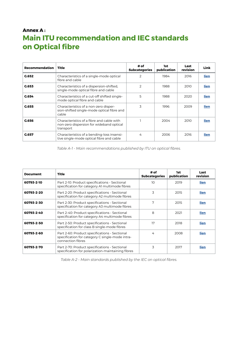### **Annex A : Main ITU recommendation and IEC standards on Optical fibre**

| Recommendation | Title                                                                                              | # of<br><b>Subcategories</b> | 1st<br>publication | Last<br>revision | Link |
|----------------|----------------------------------------------------------------------------------------------------|------------------------------|--------------------|------------------|------|
| G.652          | Characteristics of a single-mode optical<br>fibre and cable                                        | 2                            | 1984               | 2016             | lien |
| C.653          | Characteristics of a dispersion-shifted,<br>single-mode optical fibre and cable                    | フ                            | 1988               | 2010             | lien |
| G.654          | Characteristics of a cut-off shifted single-<br>mode optical fibre and cable                       | 5                            | 1988               | 2020             | lien |
| G.655          | Characteristics of a non-zero disper-<br>sion-shifted single-mode optical fibre and<br>cable       | 3                            | 1996               | 2009             | lien |
| G.656          | Characteristics of a fibre and cable with<br>non-zero dispersion for wideband optical<br>transport |                              | 2004               | 2010             | lien |
| G.657          | Characteristics of a bending-loss insensi-<br>tive single-mode optical fibre and cable             | 4                            | 2006               | 2016             | lien |

*Table A-1 - Main recommendations published by ITU on optical fibres.*

| <b>Document</b> | <b>Title</b>                                                                                                          | # of<br><b>Subcategories</b> | 1st<br>publication | Last<br>revision |
|-----------------|-----------------------------------------------------------------------------------------------------------------------|------------------------------|--------------------|------------------|
| 60793-2-10      | Part 2-10: Product specifications - Sectional<br>specification for category AI multimode fibres                       | 10                           | 2019               | lien             |
| 60793-2-20      | Part 2-20: Product specifications - Sectional<br>specification for category A2 multimode fibres                       | 3                            | 2015               | lien             |
| 60793-2-30      | Part 2-30: Product specifications - Sectional<br>specification for category A3 multimode fibres                       | 7                            | 2015               | lien             |
| 60793-2-40      | Part 2-40: Product specifications - Sectional<br>specification for category A4 multimode fibres                       | 8                            | 2021               | lien             |
| 60793-2-50      | Part 2-50: Product specifications - Sectional<br>specification for class B single-mode fibres                         | 17                           | 2018               | lien             |
| 60793-2-60      | Part 2-60: Product specifications - Sectional<br>specification for category C single-mode intra-<br>connection fibres | 4                            | 2008               | lien             |
| 60793-2-70      | Part 2-70: Product specifications - Sectional<br>specification for polarization-maintaining fibres                    | 3                            | 2017               | lien             |

*Table A-2 - Main standards published by the IEC on optical fibres.*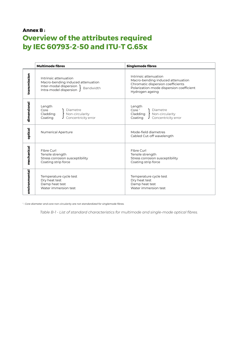### **Annex B : Overview of the attributes required by IEC 60793-2-50 and ITU-T G.65x**

|               | <b>Multimode fibres</b>                                                                                                     | <b>Singlemode fibres</b>                                                                                                                                       |  |  |
|---------------|-----------------------------------------------------------------------------------------------------------------------------|----------------------------------------------------------------------------------------------------------------------------------------------------------------|--|--|
| transmission  | Intrinsic attenuation<br>Macro-bending induced attenuation<br>Inter-modal dispersion<br>Bandwidth<br>Intra-model dispersion | Intrinsic attenuation<br>Macro-bending induced attenuation<br>Chromatic dispersion coefficients<br>Polarization-mode dispersion coefficient<br>Hydrogen ageing |  |  |
| dimensional   | Length<br>Core<br>Diametre<br>Cladding<br>Non-circularity<br>Concentricity error<br>Coating                                 | Length<br>Core $1$<br>Diametre<br>Cladding<br>Non-circularity<br>Concentricity error<br>Coating                                                                |  |  |
| optical       | <b>Numerical Aperture</b>                                                                                                   | Mode-field diametres<br>Cabled Cut-off wavelength                                                                                                              |  |  |
| mechanical    | Fibre Curl<br>Tensile strength<br>Stress corrosion susceptibility<br>Coating strip force                                    | Fibre Curl<br>Tensile strength<br>Stress corrosion susceptibility<br>Coating strip force                                                                       |  |  |
| environmental | Temperature cycle test<br>Dry heat test<br>Damp heat test<br>Water immersion test                                           | Temperature cycle test<br>Dry heat test<br>Damp heat test<br>Water immersion test                                                                              |  |  |

*1 : Core diameter and core non circularity are not standardized for singlemode fibres.*

*Table B-1 - List of standard characteristics for multimode and single-mode optical fibres.*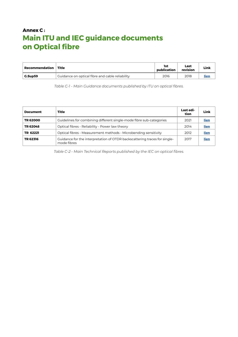### **Annex C : Main ITU and IEC guidance documents on Optical fibre**

| Recommendation | Title                                           |      | Last<br>revision | Link |  |
|----------------|-------------------------------------------------|------|------------------|------|--|
| G.Sup59        | Guidance on optical fibre and cable reliability | 2016 | 2018             | lier |  |

*Table C-1 - Main Guidance documents published by ITU on optical fibres.*

| <b>Document</b> | <b>Title</b>                                                                             |      | Link |
|-----------------|------------------------------------------------------------------------------------------|------|------|
| TR 62000        | Guidelines for combining different single-mode fibre sub-categories                      | 2021 | lien |
| TR 62048        | Optical fibres - Reliability - Power law theory                                          | 2014 | lien |
| TR 62221        | Optical fibres - Measurement methods - Microbending sensitivity                          | 2012 | lien |
| TR 62316        | Guidance for the interpretation of OTDR backscattering traces for single-<br>mode fibres | 2017 | lien |

*Table C-2 - Main Technical Reports published by the IEC on optical fibres.*